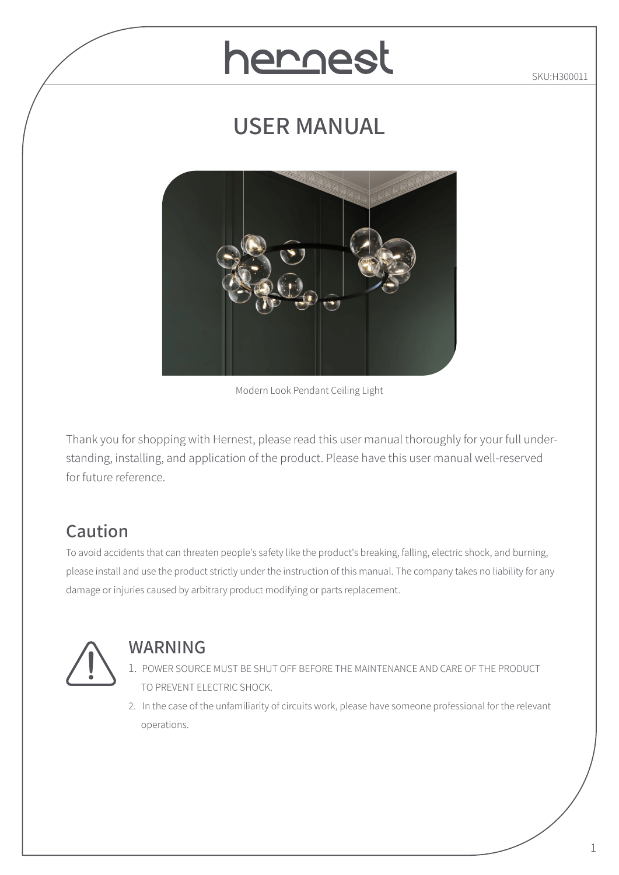# hernest

SKU:H300011

# **USER MANUAL**



Modern Look Pendant Ceiling Light

Thank you for shopping with Hernest, please read this user manual thoroughly for your full understanding, installing, and application of the product. Please have this user manual well-reserved for future reference.

# **Caution**

To avoid accidents that can threaten people's safety like the product's breaking, falling, electric shock, and burning, please install and use the product strictly under the instruction of this manual. The company takes no liability for any damage or injuries caused by arbitrary product modifying or parts replacement.



#### **WARNING**

- 1. POWER SOURCE MUST BE SHUT OFF BEFORE THE MAINTENANCE AND CARE OF THE PRODUCT TO PREVENT ELECTRIC SHOCK.
- 2. In the case of the unfamiliarity of circuits work, please have someone professional for the relevant operations.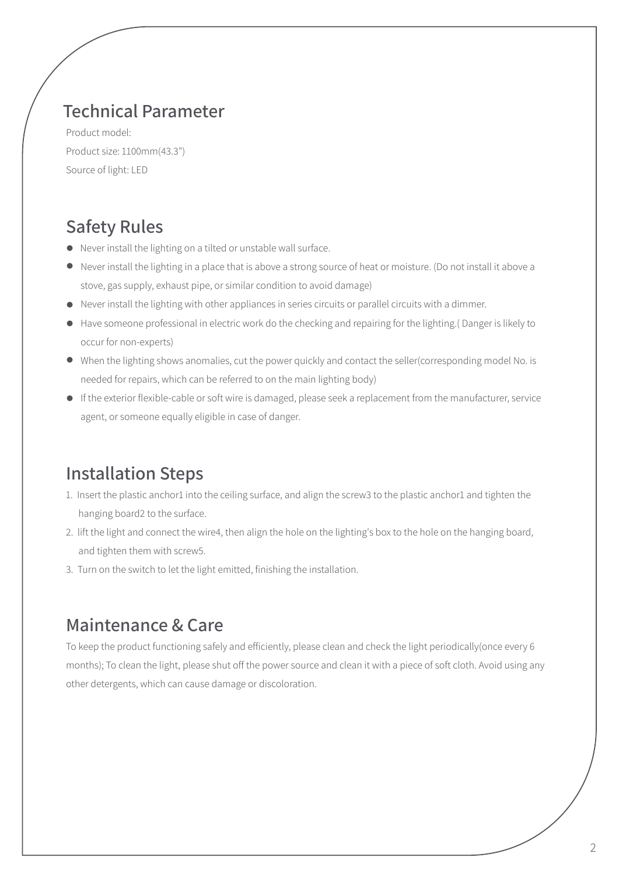#### **Technical Parameter**

Product model: Product size: 1100mm(43.3") Source of light: LED

### **Safety Rules**

- Never install the lighting on a tilted or unstable wall surface.
- Never install the lighting in a place that is above a strong source of heat or moisture. (Do not install it above a stove, gas supply, exhaust pipe, or similar condition to avoid damage)
- Never install the lighting with other appliances in series circuits or parallel circuits with a dimmer.
- Have someone professional in electric work do the checking and repairing for the lighting.( Danger is likely to occur for non-experts)
- When the lighting shows anomalies, cut the power quickly and contact the seller(corresponding model No. is needed for repairs, which can be referred to on the main lighting body)
- If the exterior flexible-cable or soft wire is damaged, please seek a replacement from the manufacturer, service agent, or someone equally eligible in case of danger.

### **Installation Steps**

- 1. Insert the plastic anchor1 into the ceiling surface, and align the screw3 to the plastic anchor1 and tighten the hanging board2 to the surface.
- 2. lift the light and connect the wire4, then align the hole on the lighting's box to the hole on the hanging board, and tighten them with screw5.
- 3. Turn on the switch to let the light emitted, finishing the installation.

#### **Maintenance & Care**

To keep the product functioning safely and efficiently, please clean and check the light periodically(once every 6 months); To clean the light, please shut off the power source and clean it with a piece of soft cloth. Avoid using any other detergents, which can cause damage or discoloration.